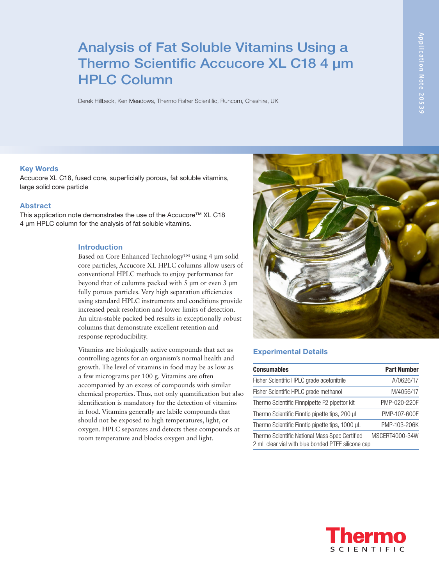# Analysis of Fat Soluble Vitamins Using a Thermo Scientific Accucore XL C18 4 µm HPLC Column

Derek Hillbeck, Ken Meadows, Thermo Fisher Scientific, Runcorn, Cheshire, UK

#### Key Words

Accucore XL C18, fused core, superficially porous, fat soluble vitamins, large solid core particle

## Abstract

This application note demonstrates the use of the Accucore™ XL C18 4 µm HPLC column for the analysis of fat soluble vitamins.

#### Introduction

Based on Core Enhanced Technology™ using 4 µm solid core particles, Accucore XL HPLC columns allow users of conventional HPLC methods to enjoy performance far beyond that of columns packed with 5 µm or even 3 µm fully porous particles. Very high separation efficiencies using standard HPLC instruments and conditions provide increased peak resolution and lower limits of detection. An ultra-stable packed bed results in exceptionally robust columns that demonstrate excellent retention and response reproducibility.

Vitamins are biologically active compounds that act as controlling agents for an organism's normal health and growth. The level of vitamins in food may be as low as a few micrograms per 100 g. Vitamins are often accompanied by an excess of compounds with similar chemical properties. Thus, not only quantification but also identification is mandatory for the detection of vitamins in food. Vitamins generally are labile compounds that should not be exposed to high temperatures, light, or oxygen. HPLC separates and detects these compounds at room temperature and blocks oxygen and light.



### Experimental Details

| <b>Consumables</b>                                                                                   | <b>Part Number</b> |
|------------------------------------------------------------------------------------------------------|--------------------|
| Fisher Scientific HPLC grade acetonitrile                                                            | A/0626/17          |
| Fisher Scientific HPLC grade methanol                                                                | M/4056/17          |
| Thermo Scientific Finnpipette F2 pipettor kit                                                        | PMP-020-220F       |
| Thermo Scientific Finntip pipette tips, 200 µL                                                       | PMP-107-600F       |
| Thermo Scientific Finntip pipette tips, 1000 µL                                                      | PMP-103-206K       |
| Thermo Scientific National Mass Spec Certified<br>2 mL clear vial with blue bonded PTFE silicone cap | MSCERT4000-34W     |

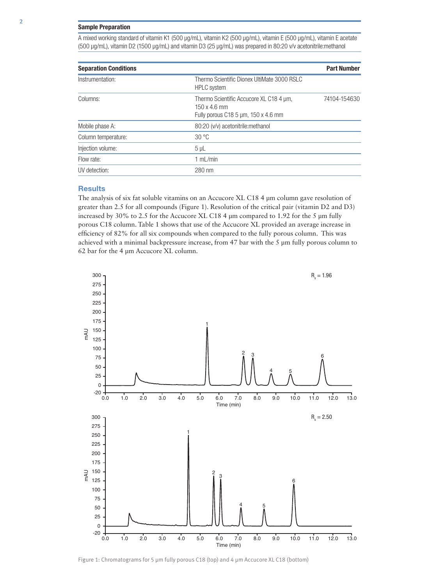#### Sample Preparation

A mixed working standard of vitamin K1 (500 µg/mL), vitamin K2 (500 µg/mL), vitamin E (500 µg/mL), vitamin E acetate (500 µg/mL), vitamin D2 (1500 µg/mL) and vitamin D3 (25 µg/mL) was prepared in 80:20 v/v acetonitrile:methanol

| <b>Separation Conditions</b> |                                                                                                       | <b>Part Number</b> |
|------------------------------|-------------------------------------------------------------------------------------------------------|--------------------|
| Instrumentation:             | Thermo Scientific Dionex UltiMate 3000 RSLC<br><b>HPLC</b> system                                     |                    |
| Columns:                     | Thermo Scientific Accucore XL C18 4 um,<br>$150 \times 4.6$ mm<br>Fully porous C18 5 um, 150 x 4.6 mm | 74104-154630       |
| Mobile phase A:              | 80:20 (v/v) acetonitrile: methanol                                                                    |                    |
| Column temperature:          | 30 °C                                                                                                 |                    |
| Injection volume:            | $5 \mu L$                                                                                             |                    |
| Flow rate:                   | 1 mL/min                                                                                              |                    |
| UV detection:                | 280 nm                                                                                                |                    |
|                              |                                                                                                       |                    |

#### **Results**

The analysis of six fat soluble vitamins on an Accucore XL C18 4 µm column gave resolution of greater than 2.5 for all compounds (Figure 1). Resolution of the critical pair (vitamin D2 and D3) increased by 30% to 2.5 for the Accucore XL C18 4 µm compared to 1.92 for the 5 µm fully porous C18 column. Table 1 shows that use of the Accucore XL provided an average increase in efficiency of 82% for all six compounds when compared to the fully porous column. This was achieved with a minimal backpressure increase, from 47 bar with the 5 µm fully porous column to 62 bar for the 4 µm Accucore XL column.



Figure 1: Chromatograms for 5 µm fully porous C18 (top) and 4 µm Accucore XL C18 (bottom)